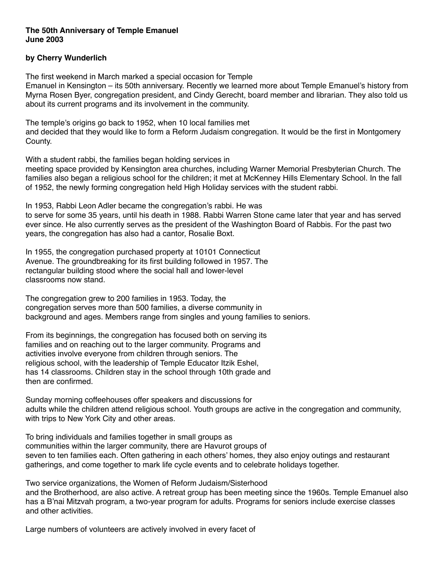## **The 50th Anniversary of Temple Emanuel June 2003**

## **by Cherry Wunderlich**

The first weekend in March marked a special occasion for Temple

Emanuel in Kensington – its 50th anniversary. Recently we learned more about Temple Emanuel's history from Myrna Rosen Byer, congregation president, and Cindy Gerecht, board member and librarian. They also told us about its current programs and its involvement in the community.

The temple's origins go back to 1952, when 10 local families met and decided that they would like to form a Reform Judaism congregation. It would be the first in Montgomery County.

With a student rabbi, the families began holding services in

meeting space provided by Kensington area churches, including Warner Memorial Presbyterian Church. The families also began a religious school for the children; it met at McKenney Hills Elementary School. In the fall of 1952, the newly forming congregation held High Holiday services with the student rabbi.

In 1953, Rabbi Leon Adler became the congregation's rabbi. He was to serve for some 35 years, until his death in 1988. Rabbi Warren Stone came later that year and has served ever since. He also currently serves as the president of the Washington Board of Rabbis. For the past two years, the congregation has also had a cantor, Rosalie Boxt.

In 1955, the congregation purchased property at 10101 Connecticut Avenue. The groundbreaking for its first building followed in 1957. The rectangular building stood where the social hall and lower-level classrooms now stand.

The congregation grew to 200 families in 1953. Today, the congregation serves more than 500 families, a diverse community in background and ages. Members range from singles and young families to seniors.

From its beginnings, the congregation has focused both on serving its families and on reaching out to the larger community. Programs and activities involve everyone from children through seniors. The religious school, with the leadership of Temple Educator Itzik Eshel, has 14 classrooms. Children stay in the school through 10th grade and then are confirmed.

Sunday morning coffeehouses offer speakers and discussions for adults while the children attend religious school. Youth groups are active in the congregation and community, with trips to New York City and other areas.

To bring individuals and families together in small groups as communities within the larger community, there are Havurot groups of seven to ten families each. Often gathering in each others' homes, they also enjoy outings and restaurant gatherings, and come together to mark life cycle events and to celebrate holidays together.

Two service organizations, the Women of Reform Judaism/Sisterhood and the Brotherhood, are also active. A retreat group has been meeting since the 1960s. Temple Emanuel also has a B'nai Mitzvah program, a two-year program for adults. Programs for seniors include exercise classes and other activities.

Large numbers of volunteers are actively involved in every facet of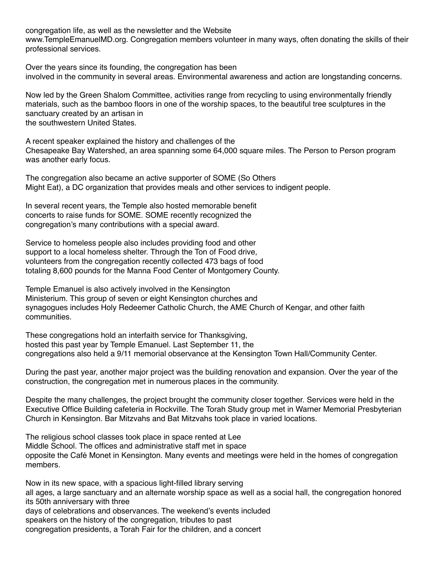congregation life, as well as the newsletter and the Website

www.TempleEmanuelMD.org. Congregation members volunteer in many ways, often donating the skills of their professional services.

Over the years since its founding, the congregation has been involved in the community in several areas. Environmental awareness and action are longstanding concerns.

Now led by the Green Shalom Committee, activities range from recycling to using environmentally friendly materials, such as the bamboo floors in one of the worship spaces, to the beautiful tree sculptures in the sanctuary created by an artisan in the southwestern United States.

A recent speaker explained the history and challenges of the Chesapeake Bay Watershed, an area spanning some 64,000 square miles. The Person to Person program was another early focus.

The congregation also became an active supporter of SOME (So Others Might Eat), a DC organization that provides meals and other services to indigent people.

In several recent years, the Temple also hosted memorable benefit concerts to raise funds for SOME. SOME recently recognized the congregation's many contributions with a special award.

Service to homeless people also includes providing food and other support to a local homeless shelter. Through the Ton of Food drive, volunteers from the congregation recently collected 473 bags of food totaling 8,600 pounds for the Manna Food Center of Montgomery County.

Temple Emanuel is also actively involved in the Kensington Ministerium. This group of seven or eight Kensington churches and synagogues includes Holy Redeemer Catholic Church, the AME Church of Kengar, and other faith communities.

These congregations hold an interfaith service for Thanksgiving, hosted this past year by Temple Emanuel. Last September 11, the congregations also held a 9/11 memorial observance at the Kensington Town Hall/Community Center.

During the past year, another major project was the building renovation and expansion. Over the year of the construction, the congregation met in numerous places in the community.

Despite the many challenges, the project brought the community closer together. Services were held in the Executive Office Building cafeteria in Rockville. The Torah Study group met in Warner Memorial Presbyterian Church in Kensington. Bar Mitzvahs and Bat Mitzvahs took place in varied locations.

The religious school classes took place in space rented at Lee Middle School. The offices and administrative staff met in space opposite the Café Monet in Kensington. Many events and meetings were held in the homes of congregation members.

Now in its new space, with a spacious light-filled library serving all ages, a large sanctuary and an alternate worship space as well as a social hall, the congregation honored its 50th anniversary with three days of celebrations and observances. The weekend's events included speakers on the history of the congregation, tributes to past congregation presidents, a Torah Fair for the children, and a concert